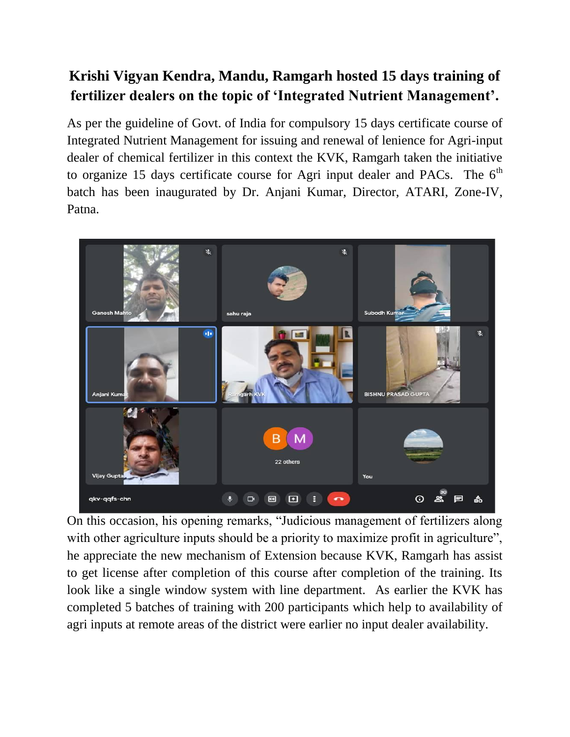## **Krishi Vigyan Kendra, Mandu, Ramgarh hosted 15 days training of fertilizer dealers on the topic of 'Integrated Nutrient Management'.**

As per the guideline of Govt. of India for compulsory 15 days certificate course of Integrated Nutrient Management for issuing and renewal of lenience for Agri-input dealer of chemical fertilizer in this context the KVK, Ramgarh taken the initiative to organize 15 days certificate course for Agri input dealer and PACs. The  $6<sup>th</sup>$ batch has been inaugurated by Dr. Anjani Kumar, Director, ATARI, Zone-IV, Patna.



On this occasion, his opening remarks, "Judicious management of fertilizers along with other agriculture inputs should be a priority to maximize profit in agriculture", he appreciate the new mechanism of Extension because KVK, Ramgarh has assist to get license after completion of this course after completion of the training. Its look like a single window system with line department. As earlier the KVK has completed 5 batches of training with 200 participants which help to availability of agri inputs at remote areas of the district were earlier no input dealer availability.